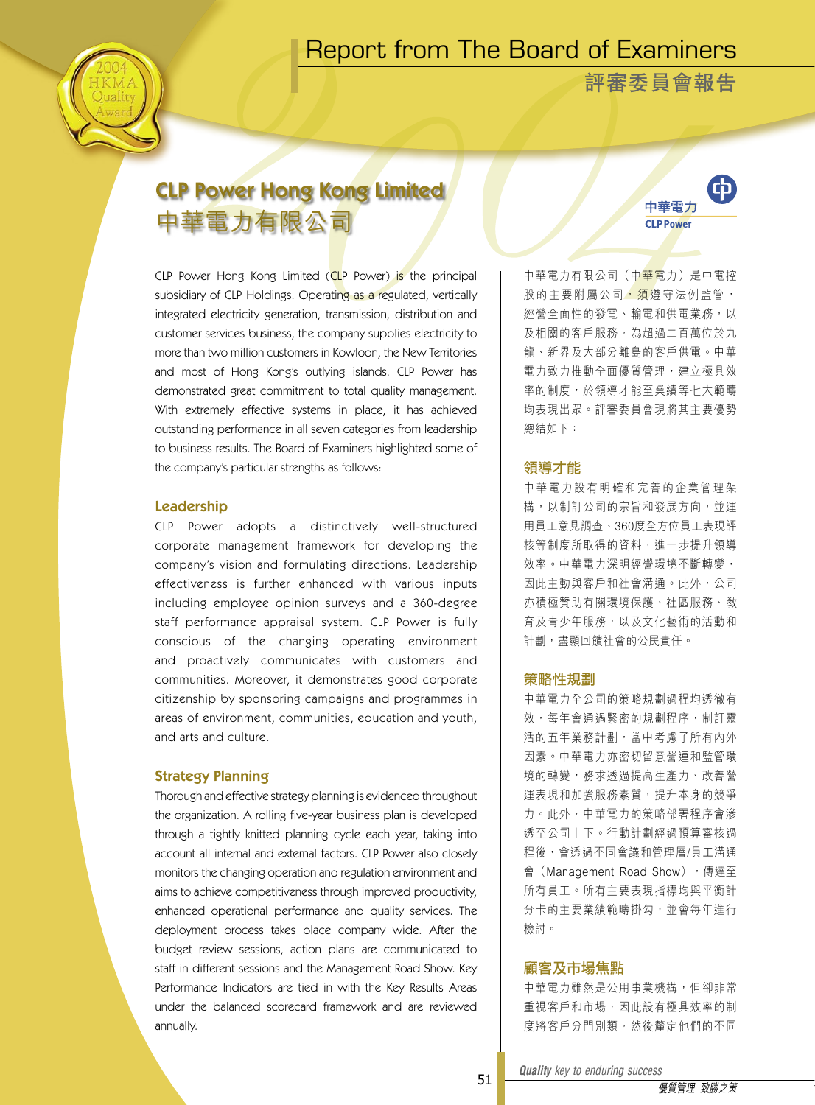# Report from The Board of Examiners



**評審委員會報告**

# CLP Power Hong Kong Limited 中華電力有限公司

CLP Power Hong Kong Limited (CLP Power) is the principal subsidiary of CLP Holdings. Operating as a regulated, vertically integrated electricity generation, transmission, distribution and customer services business, the company supplies electricity to more than two million customers in Kowloon, the New Territories and most of Hong Kong's outlying islands. CLP Power has demonstrated great commitment to total quality management. With extremely effective systems in place, it has achieved outstanding performance in all seven categories from leadership to business results. The Board of Examiners highlighted some of the company's particular strengths as follows:

## Leadership

CLP Power adopts a distinctively well-structured corporate management framework for developing the company's vision and formulating directions. Leadership effectiveness is further enhanced with various inputs including employee opinion surveys and a 360-degree staff performance appraisal system. CLP Power is fully conscious of the changing operating environment and proactively communicates with customers and communities. Moreover, it demonstrates good corporate citizenship by sponsoring campaigns and programmes in areas of environment, communities, education and youth, and arts and culture.

# Strategy Planning

Thorough and effective strategy planning is evidenced throughout the organization. A rolling five-year business plan is developed through a tightly knitted planning cycle each year, taking into account all internal and external factors. CLP Power also closely monitors the changing operation and regulation environment and aims to achieve competitiveness through improved productivity, enhanced operational performance and quality services. The deployment process takes place company wide. After the budget review sessions, action plans are communicated to staff in different sessions and the Management Road Show. Key Performance Indicators are tied in with the Key Results Areas under the balanced scorecard framework and are reviewed annually.



中華電力有限公司(中華電力)是中電控 股的主要附屬公司, 須遵守法例監管 經營全面性的發電、輸電和供電業務,以 及相關的客戶服務,為超過二百萬位於九 龍、新界及大部分離島的客戶供電。中華 電力致力推動全面優質管理,建立極具效 率的制度,於領導才能至業績等七大範疇 均表現出眾。評審委員會現將其主要優勢 總結如下:

# 領導才能

中 華 電 力 設 有 明 確 和 完 善 的 企 業 管 理 架 構,以制訂公司的宗旨和發展方向,並運 用員工意見調查、360度全方位員工表現評 核等制度所取得的資料,進一步提升領導 效率。中華電力深明經營環境不斷轉變, 因此主動與客戶和社會溝通。此外,公司 亦積極贊助有關環境保護、社區服務、教 育及青少年服務,以及文化藝術的活動和 計劃,盡顯回饋社會的公民責任。

### 策略性規劃

中華電力全公司的策略規劃過程均透徹有 效,每年會通過緊密的規劃程序,制訂靈 活的五年業務計劃,當中考慮了所有內外 因素。中華電力亦密切留意營運和監管環 境的轉變,務求透過提高生產力、改善營 運表現和加強服務素質,提升本身的競爭 力。此外,中華電力的策略部署程序會滲 透至公司上下。行動計劃經過預算審核過 程後,會透過不同會議和管理層/員工溝通 會 (Management Road Show), 傳達至 所有員工。所有主要表現指標均與平衡計 分卡的主要業績範疇掛勾,並會每年進行 檢討。

## 顧客及市場焦點

中華電力雖然是公用事業機構,但卻非常 重視客戶和市場,因此設有極具效率的制 度將客戶分門別類,然後釐定他們的不同

*Quality key to enduring success Quality key to enduring success*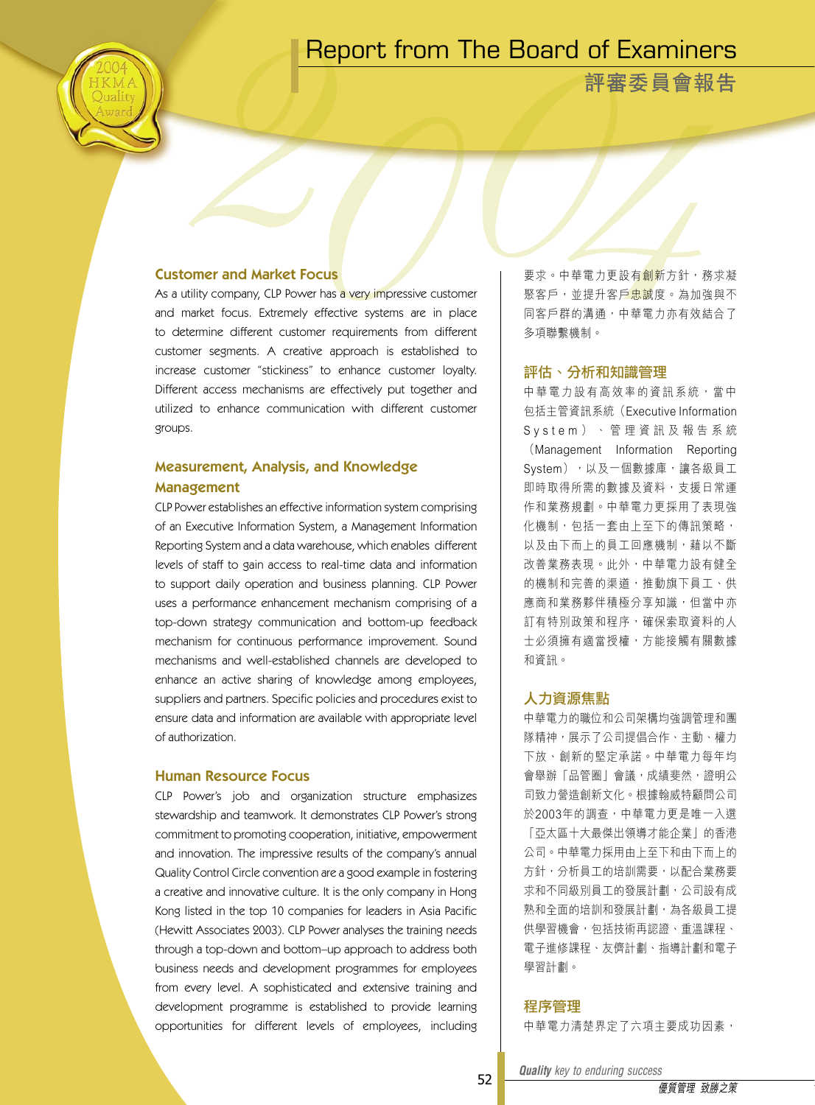# Report from The Board of Examiners

**評審委員會報告**

# Customer and Market Focus

As a utility company, CLP Power has a very impressive customer and market focus. Extremely effective systems are in place to determine different customer requirements from different customer segments. A creative approach is established to increase customer "stickiness" to enhance customer loyalty. Different access mechanisms are effectively put together and utilized to enhance communication with different customer groups.

# Measurement, Analysis, and Knowledge Management

CLP Power establishes an effective information system comprising of an Executive Information System, a Management Information Reporting System and a data warehouse, which enables different levels of staff to gain access to real-time data and information to support daily operation and business planning. CLP Power uses a performance enhancement mechanism comprising of a top-down strategy communication and bottom-up feedback mechanism for continuous performance improvement. Sound mechanisms and well-established channels are developed to enhance an active sharing of knowledge among employees, suppliers and partners. Specific policies and procedures exist to ensure data and information are available with appropriate level of authorization.

# Human Resource Focus

CLP Power's job and organization structure emphasizes stewardship and teamwork. It demonstrates CLP Power's strong commitment to promoting cooperation, initiative, empowerment and innovation. The impressive results of the company's annual Quality Control Circle convention are a good example in fostering a creative and innovative culture. It is the only company in Hong Kong listed in the top 10 companies for leaders in Asia Pacific (Hewitt Associates 2003). CLP Power analyses the training needs through a top-down and bottom–up approach to address both business needs and development programmes for employees from every level. A sophisticated and extensive training and development programme is established to provide learning opportunities for different levels of employees, including

要求。中華電力更設有<mark>創新</mark>方針,務求凝 聚客戶,並提升客戶忠誠度。為加強與不 同客戶群的溝通,中華電力亦有效結合了 多項聯繫機制。

## 評估、分析和知識管理

中華電力設有高效率的資訊系統,當中 包括主管資訊系統(Executive Information S y s t e m ) 、 管 理 資 訊 及 報 告 系 統 (Management Information Reporting System),以及一個數據庫,讓各級員工 即時取得所需的數據及資料,支援日常運 作和業務規劃。中華電力更採用了表現強 化機制,包括一套由上至下的傳訊策略, 以及由下而上的員工回應機制,藉以不斷 改善業務表現。此外,中華電力設有健全 的機制和完善的渠道,推動旗下員工、供 應商和業務夥伴積極分享知識,但當中亦 訂有特別政策和程序,確保索取資料的人 士必須擁有適當授權,方能接觸有關數據 和資訊。

# 人力資源焦點

中華電力的職位和公司架構均強調管理和團 隊精神,展示了公司提倡合作、主動、權力 下放、創新的堅定承諾。中華電力每年均 會舉辦「品管圈」會議,成績斐然,證明公 司致力營造創新文化。根據翰威特顧問公司 於2003年的調查,中華電力更是唯一入選 「亞太區十大最傑出領導才能企業」的香港 公司。中華電力採用由上至下和由下而上的 方針,分析員工的培訓需要,以配合業務要 求和不同級別員工的發展計劃,公司設有成 熟和全面的培訓和發展計劃,為各級員工提 供學習機會,包括技術再認證、重溫課程、 電子進修課程、友儕計劃、指導計劃和電子 學習計劃。

# 程序管理

中華電力清楚界定了六項主要成功因素,

*Quality key to enduring success Quality key to enduring success*